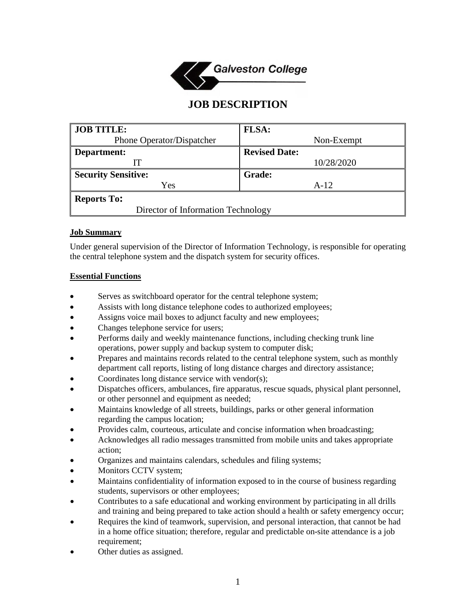

# **JOB DESCRIPTION**

| <b>JOB TITLE:</b>                  | <b>FLSA:</b>         |
|------------------------------------|----------------------|
| Phone Operator/Dispatcher          | Non-Exempt           |
| Department:                        | <b>Revised Date:</b> |
|                                    | 10/28/2020           |
| <b>Security Sensitive:</b>         | <b>Grade:</b>        |
| Yes                                | $A-12$               |
| <b>Reports To:</b>                 |                      |
| Director of Information Technology |                      |

# **Job Summary**

Under general supervision of the Director of Information Technology, is responsible for operating the central telephone system and the dispatch system for security offices.

# **Essential Functions**

- Serves as switchboard operator for the central telephone system;
- Assists with long distance telephone codes to authorized employees;
- Assigns voice mail boxes to adjunct faculty and new employees;
- Changes telephone service for users;
- Performs daily and weekly maintenance functions, including checking trunk line operations, power supply and backup system to computer disk;
- Prepares and maintains records related to the central telephone system, such as monthly department call reports, listing of long distance charges and directory assistance;
- Coordinates long distance service with vendor(s);
- Dispatches officers, ambulances, fire apparatus, rescue squads, physical plant personnel, or other personnel and equipment as needed;
- Maintains knowledge of all streets, buildings, parks or other general information regarding the campus location;
- Provides calm, courteous, articulate and concise information when broadcasting;
- Acknowledges all radio messages transmitted from mobile units and takes appropriate action;
- Organizes and maintains calendars, schedules and filing systems;
- Monitors CCTV system;
- Maintains confidentiality of information exposed to in the course of business regarding students, supervisors or other employees;
- Contributes to a safe educational and working environment by participating in all drills and training and being prepared to take action should a health or safety emergency occur;
- Requires the kind of teamwork, supervision, and personal interaction, that cannot be had in a home office situation; therefore, regular and predictable on-site attendance is a job requirement;
- Other duties as assigned.